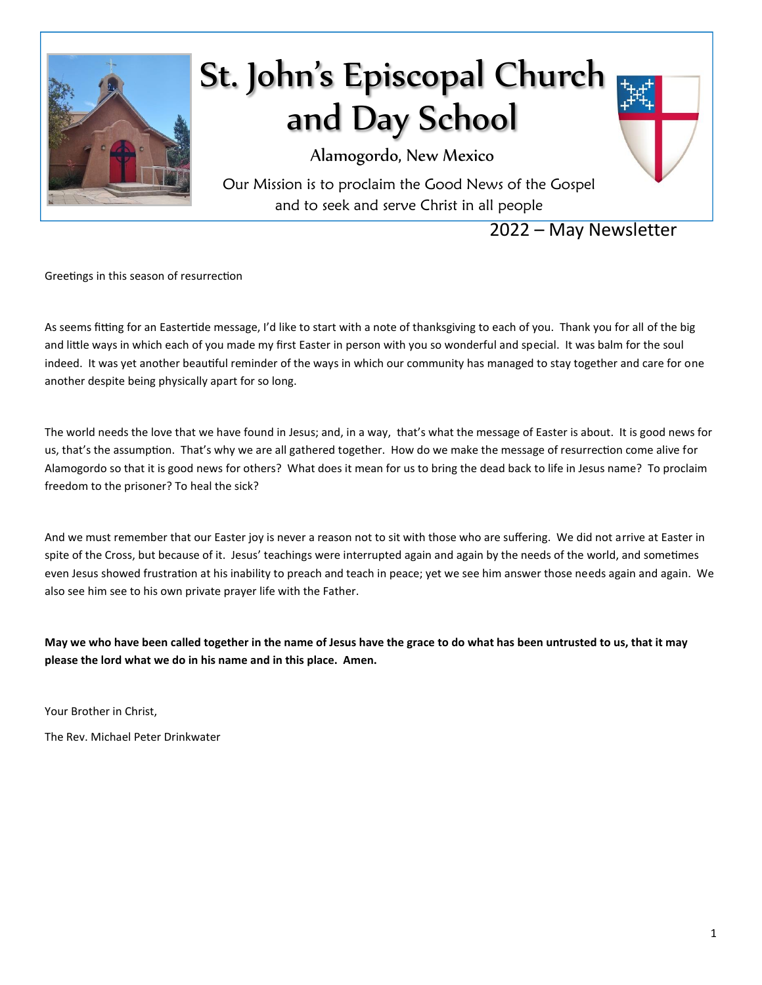

# St. John's Episcopal Church and Day School

Alamogordo, New Mexico

Our Mission is to proclaim the Good News of the Gospel and to seek and serve Christ in all people

2022 – May Newsletter

Greetings in this season of resurrection

As seems fitting for an Eastertide message, I'd like to start with a note of thanksgiving to each of you. Thank you for all of the big and little ways in which each of you made my first Easter in person with you so wonderful and special. It was balm for the soul indeed. It was yet another beautiful reminder of the ways in which our community has managed to stay together and care for one another despite being physically apart for so long.

The world needs the love that we have found in Jesus; and, in a way, that's what the message of Easter is about. It is good news for us, that's the assumption. That's why we are all gathered together. How do we make the message of resurrection come alive for Alamogordo so that it is good news for others? What does it mean for us to bring the dead back to life in Jesus name? To proclaim freedom to the prisoner? To heal the sick?

And we must remember that our Easter joy is never a reason not to sit with those who are suffering. We did not arrive at Easter in spite of the Cross, but because of it. Jesus' teachings were interrupted again and again by the needs of the world, and sometimes even Jesus showed frustration at his inability to preach and teach in peace; yet we see him answer those needs again and again. We also see him see to his own private prayer life with the Father.

**May we who have been called together in the name of Jesus have the grace to do what has been untrusted to us, that it may please the lord what we do in his name and in this place. Amen.** 

Your Brother in Christ,

The Rev. Michael Peter Drinkwater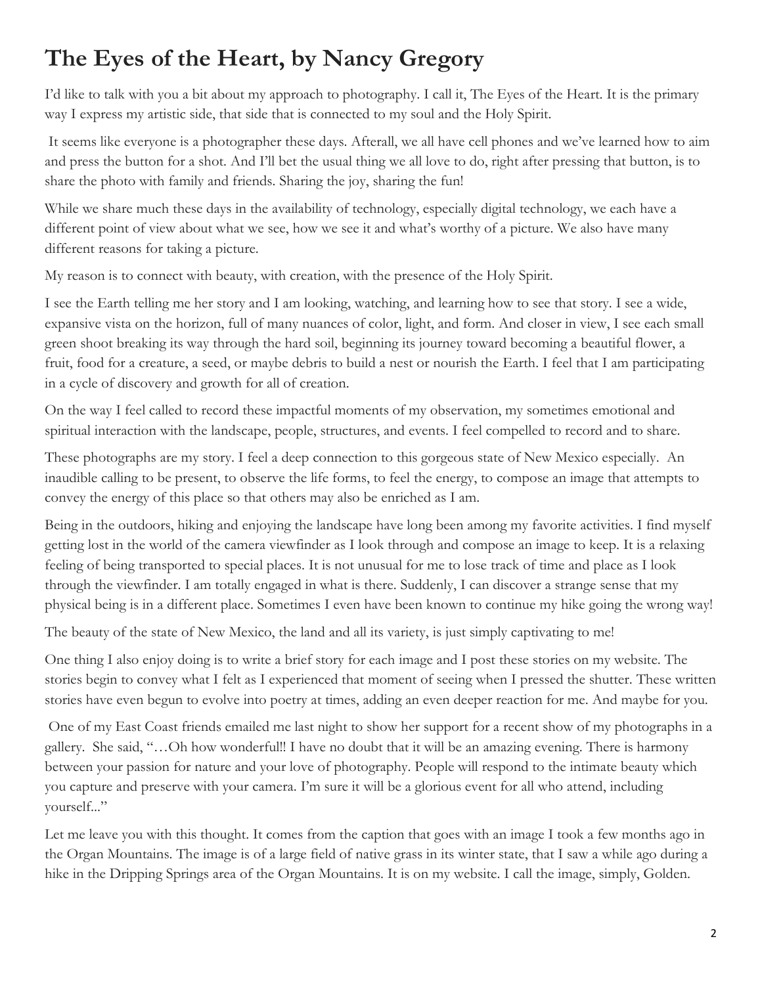# **The Eyes of the Heart, by Nancy Gregory**

I'd like to talk with you a bit about my approach to photography. I call it, The Eyes of the Heart. It is the primary way I express my artistic side, that side that is connected to my soul and the Holy Spirit.

It seems like everyone is a photographer these days. Afterall, we all have cell phones and we've learned how to aim and press the button for a shot. And I'll bet the usual thing we all love to do, right after pressing that button, is to share the photo with family and friends. Sharing the joy, sharing the fun!

While we share much these days in the availability of technology, especially digital technology, we each have a different point of view about what we see, how we see it and what's worthy of a picture. We also have many different reasons for taking a picture.

My reason is to connect with beauty, with creation, with the presence of the Holy Spirit.

I see the Earth telling me her story and I am looking, watching, and learning how to see that story. I see a wide, expansive vista on the horizon, full of many nuances of color, light, and form. And closer in view, I see each small green shoot breaking its way through the hard soil, beginning its journey toward becoming a beautiful flower, a fruit, food for a creature, a seed, or maybe debris to build a nest or nourish the Earth. I feel that I am participating in a cycle of discovery and growth for all of creation.

On the way I feel called to record these impactful moments of my observation, my sometimes emotional and spiritual interaction with the landscape, people, structures, and events. I feel compelled to record and to share.

These photographs are my story. I feel a deep connection to this gorgeous state of New Mexico especially. An inaudible calling to be present, to observe the life forms, to feel the energy, to compose an image that attempts to convey the energy of this place so that others may also be enriched as I am.

Being in the outdoors, hiking and enjoying the landscape have long been among my favorite activities. I find myself getting lost in the world of the camera viewfinder as I look through and compose an image to keep. It is a relaxing feeling of being transported to special places. It is not unusual for me to lose track of time and place as I look through the viewfinder. I am totally engaged in what is there. Suddenly, I can discover a strange sense that my physical being is in a different place. Sometimes I even have been known to continue my hike going the wrong way!

The beauty of the state of New Mexico, the land and all its variety, is just simply captivating to me!

One thing I also enjoy doing is to write a brief story for each image and I post these stories on my website. The stories begin to convey what I felt as I experienced that moment of seeing when I pressed the shutter. These written stories have even begun to evolve into poetry at times, adding an even deeper reaction for me. And maybe for you.

One of my East Coast friends emailed me last night to show her support for a recent show of my photographs in a gallery. She said, "…Oh how wonderful!! I have no doubt that it will be an amazing evening. There is harmony between your passion for nature and your love of photography. People will respond to the intimate beauty which you capture and preserve with your camera. I'm sure it will be a glorious event for all who attend, including yourself..."

Let me leave you with this thought. It comes from the caption that goes with an image I took a few months ago in the Organ Mountains. The image is of a large field of native grass in its winter state, that I saw a while ago during a hike in the Dripping Springs area of the Organ Mountains. It is on my website. I call the image, simply, Golden.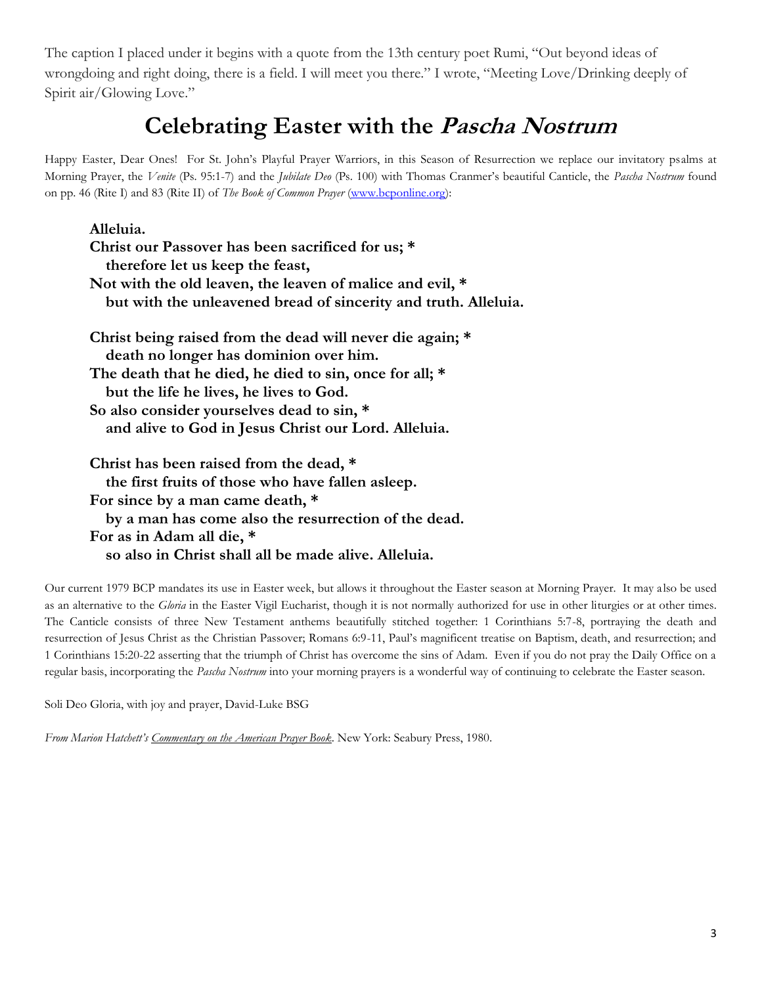The caption I placed under it begins with a quote from the 13th century poet Rumi, "Out beyond ideas of wrongdoing and right doing, there is a field. I will meet you there." I wrote, "Meeting Love/Drinking deeply of Spirit air/Glowing Love."

# **Celebrating Easter with the Pascha Nostrum**

Happy Easter, Dear Ones! For St. John's Playful Prayer Warriors, in this Season of Resurrection we replace our invitatory psalms at Morning Prayer, the *Venite* (Ps. 95:1-7) and the *Jubilate Deo* (Ps. 100) with Thomas Cranmer's beautiful Canticle, the *Pascha Nostrum* found on pp. 46 (Rite I) and 83 (Rite II) of *The Book of Common Prayer* [\(www.bcponline.org\)](http://www.bcponline.org/):

| Alleluia.                                                       |  |  |  |  |  |
|-----------------------------------------------------------------|--|--|--|--|--|
| Christ our Passover has been sacrificed for us; *               |  |  |  |  |  |
| therefore let us keep the feast,                                |  |  |  |  |  |
| Not with the old leaven, the leaven of malice and evil, *       |  |  |  |  |  |
| but with the unleavened bread of sincerity and truth. Alleluia. |  |  |  |  |  |
| Christ being raised from the dead will never die again; *       |  |  |  |  |  |
| death no longer has dominion over him.                          |  |  |  |  |  |
| The death that he died, he died to sin, once for all; *         |  |  |  |  |  |
| but the life he lives, he lives to God.                         |  |  |  |  |  |
| So also consider yourselves dead to sin, *                      |  |  |  |  |  |
| and alive to God in Jesus Christ our Lord. Alleluia.            |  |  |  |  |  |
| Christ has been raised from the dead, *                         |  |  |  |  |  |
| the first fruits of those who have fallen as leep.              |  |  |  |  |  |
| For since by a man came death, *                                |  |  |  |  |  |
| by a man has come also the resurrection of the dead.            |  |  |  |  |  |
| For as in Adam all die, *                                       |  |  |  |  |  |

Our current 1979 BCP mandates its use in Easter week, but allows it throughout the Easter season at Morning Prayer. It may also be used as an alternative to the *Gloria* in the Easter Vigil Eucharist, though it is not normally authorized for use in other liturgies or at other times. The Canticle consists of three New Testament anthems beautifully stitched together: 1 Corinthians 5:7-8, portraying the death and resurrection of Jesus Christ as the Christian Passover; Romans 6:9-11, Paul's magnificent treatise on Baptism, death, and resurrection; and 1 Corinthians 15:20-22 asserting that the triumph of Christ has overcome the sins of Adam. Even if you do not pray the Daily Office on a regular basis, incorporating the *Pascha Nostrum* into your morning prayers is a wonderful way of continuing to celebrate the Easter season.

Soli Deo Gloria, with joy and prayer, David-Luke BSG

*From Marion Hatchett's Commentary on the American Prayer Book*. New York: Seabury Press, 1980.

 **so also in Christ shall all be made alive. Alleluia.**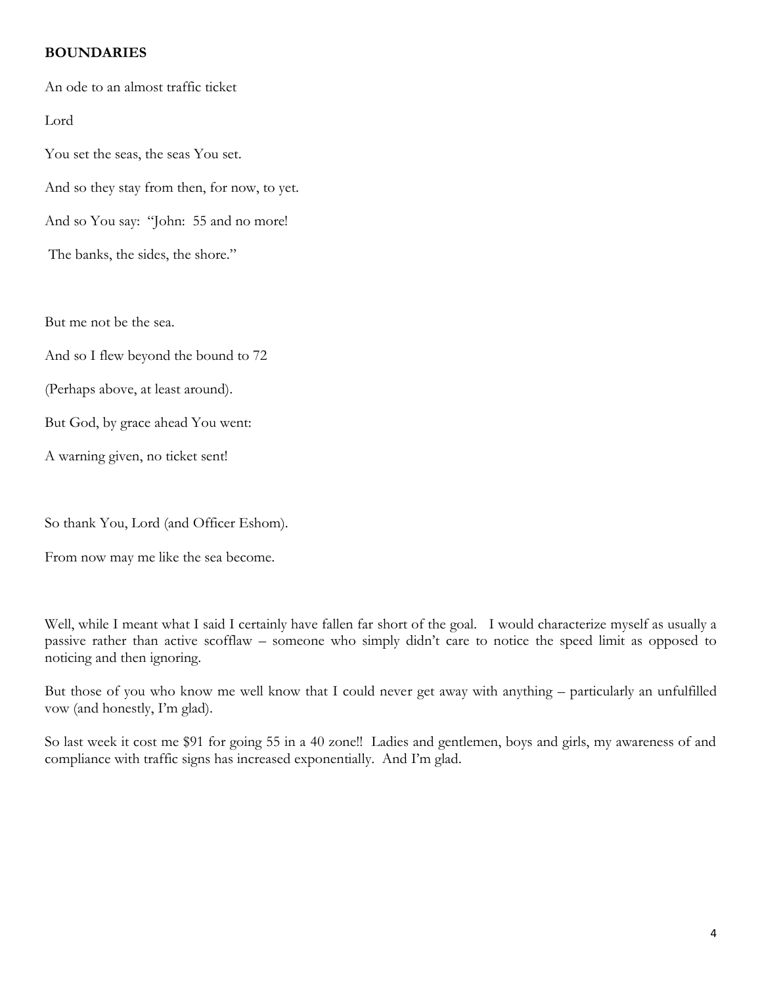#### **BOUNDARIES**

An ode to an almost traffic ticket

Lord

You set the seas, the seas You set. And so they stay from then, for now, to yet. And so You say: "John: 55 and no more! The banks, the sides, the shore."

But me not be the sea.

And so I flew beyond the bound to 72

(Perhaps above, at least around).

But God, by grace ahead You went:

A warning given, no ticket sent!

So thank You, Lord (and Officer Eshom).

From now may me like the sea become.

Well, while I meant what I said I certainly have fallen far short of the goal. I would characterize myself as usually a passive rather than active scofflaw – someone who simply didn't care to notice the speed limit as opposed to noticing and then ignoring.

But those of you who know me well know that I could never get away with anything – particularly an unfulfilled vow (and honestly, I'm glad).

So last week it cost me \$91 for going 55 in a 40 zone!! Ladies and gentlemen, boys and girls, my awareness of and compliance with traffic signs has increased exponentially. And I'm glad.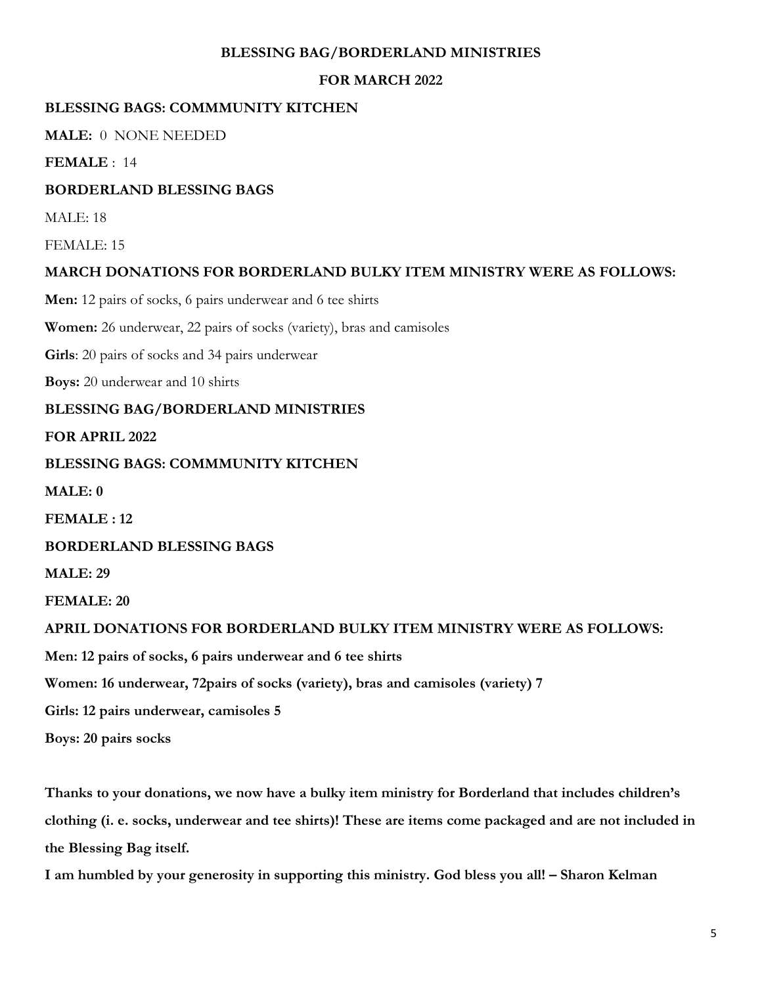#### **BLESSING BAG/BORDERLAND MINISTRIES**

#### **FOR MARCH 2022**

#### **BLESSING BAGS: COMMMUNITY KITCHEN**

**MALE:** 0 NONE NEEDED

**FEMALE** : 14

#### **BORDERLAND BLESSING BAGS**

MALE: 18

FEMALE: 15

#### **MARCH DONATIONS FOR BORDERLAND BULKY ITEM MINISTRY WERE AS FOLLOWS:**

**Men:** 12 pairs of socks, 6 pairs underwear and 6 tee shirts

**Women:** 26 underwear, 22 pairs of socks (variety), bras and camisoles

**Girls**: 20 pairs of socks and 34 pairs underwear

**Boys:** 20 underwear and 10 shirts

#### **BLESSING BAG/BORDERLAND MINISTRIES**

**FOR APRIL 2022**

#### **BLESSING BAGS: COMMMUNITY KITCHEN**

**MALE: 0**

**FEMALE : 12**

**BORDERLAND BLESSING BAGS**

**MALE: 29**

**FEMALE: 20**

#### **APRIL DONATIONS FOR BORDERLAND BULKY ITEM MINISTRY WERE AS FOLLOWS:**

**Men: 12 pairs of socks, 6 pairs underwear and 6 tee shirts**

**Women: 16 underwear, 72pairs of socks (variety), bras and camisoles (variety) 7**

**Girls: 12 pairs underwear, camisoles 5**

**Boys: 20 pairs socks**

**Thanks to your donations, we now have a bulky item ministry for Borderland that includes children's clothing (i. e. socks, underwear and tee shirts)! These are items come packaged and are not included in the Blessing Bag itself.**

**I am humbled by your generosity in supporting this ministry. God bless you all! – Sharon Kelman**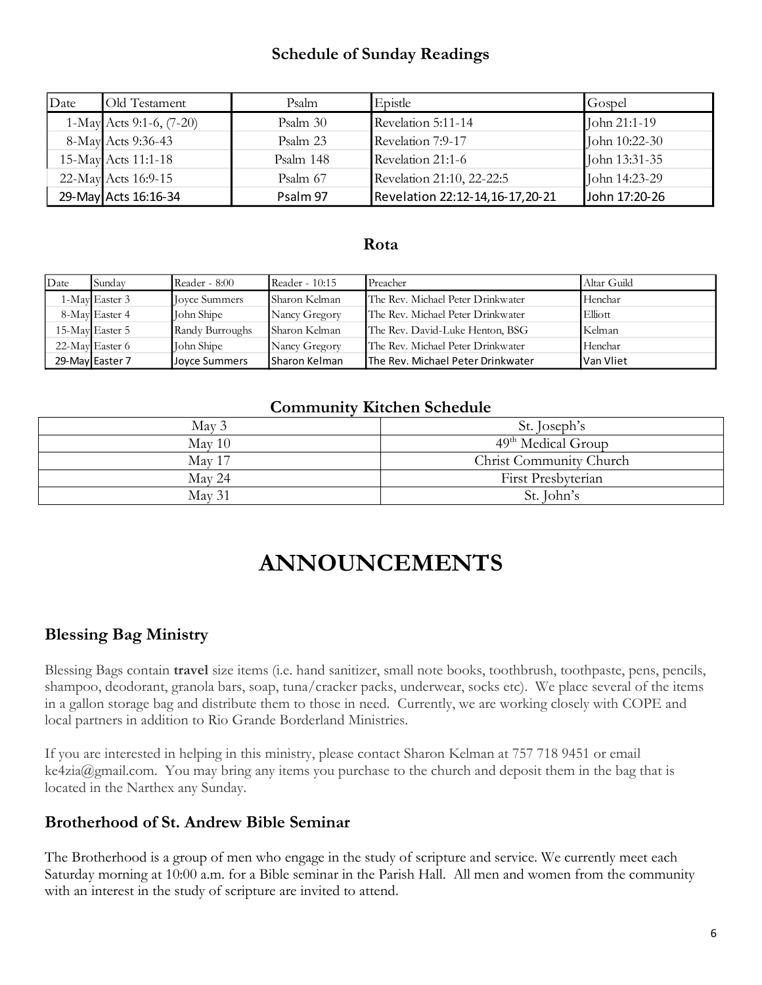# **Schedule of Sunday Readings**

| Date | Old Testament            | Psalm     | Epistle                         | Gospel        |
|------|--------------------------|-----------|---------------------------------|---------------|
|      | 1-May Acts 9:1-6, (7-20) | Psalm 30  | Revelation 5:11-14              | John 21:1-19  |
|      | 8-May Acts 9:36-43       | Psalm 23  | Revelation 7:9-17               | John 10:22-30 |
|      | 15-May Acts 11:1-18      | Psalm 148 | Revelation 21:1-6               | John 13:31-35 |
|      | 22-May Acts 16:9-15      | Psalm 67  | Revelation 21:10, 22-22:5       | John 14:23-29 |
|      | 29-May Acts 16:16-34     | Psalm 97  | Revelation 22:12-14,16-17,20-21 | John 17:20-26 |

#### **Rota**

| Date | Sundav          | Reader - 8:00        | Reader - 10:15 | Preacher                          | Altar Guild |
|------|-----------------|----------------------|----------------|-----------------------------------|-------------|
|      | 1-May Easter 3  | <b>Joyce Summers</b> | Sharon Kelman  | The Rev. Michael Peter Drinkwater | Henchar     |
|      | 8-May Easter 4  | John Shipe           | Nancy Gregory  | The Rev. Michael Peter Drinkwater | Elliott     |
|      | 15-May Easter 5 | Randy Burroughs      | Sharon Kelman  | The Rev. David-Luke Henton, BSG   | Kelman      |
|      | 22-May Easter 6 | John Shipe           | Nancy Gregory  | The Rev. Michael Peter Drinkwater | Henchar     |
|      | 29-May Easter 7 | Joyce Summers        | Sharon Kelman  | The Rev. Michael Peter Drinkwater | Van Vliet   |

# **Community Kitchen Schedule**

| May 3  | St. Joseph's            |
|--------|-------------------------|
| May 10 | $49th$ Medical Group    |
| May 17 | Christ Community Church |
| May 24 | First Presbyterian      |
| May 31 | St. John's              |

# **ANNOUNCEMENTS**

# **Blessing Bag Ministry**

Blessing Bags contain **travel** size items (i.e. hand sanitizer, small note books, toothbrush, toothpaste, pens, pencils, shampoo, deodorant, granola bars, soap, tuna/cracker packs, underwear, socks etc). We place several of the items in a gallon storage bag and distribute them to those in need. Currently, we are working closely with COPE and local partners in addition to Rio Grande Borderland Ministries.

If you are interested in helping in this ministry, please contact Sharon Kelman at 757 718 9451 or email ke4zia@gmail.com. You may bring any items you purchase to the church and deposit them in the bag that is located in the Narthex any Sunday.

## **Brotherhood of St. Andrew Bible Seminar**

The Brotherhood is a group of men who engage in the study of scripture and service. We currently meet each Saturday morning at 10:00 a.m. for a Bible seminar in the Parish Hall. All men and women from the community with an interest in the study of scripture are invited to attend.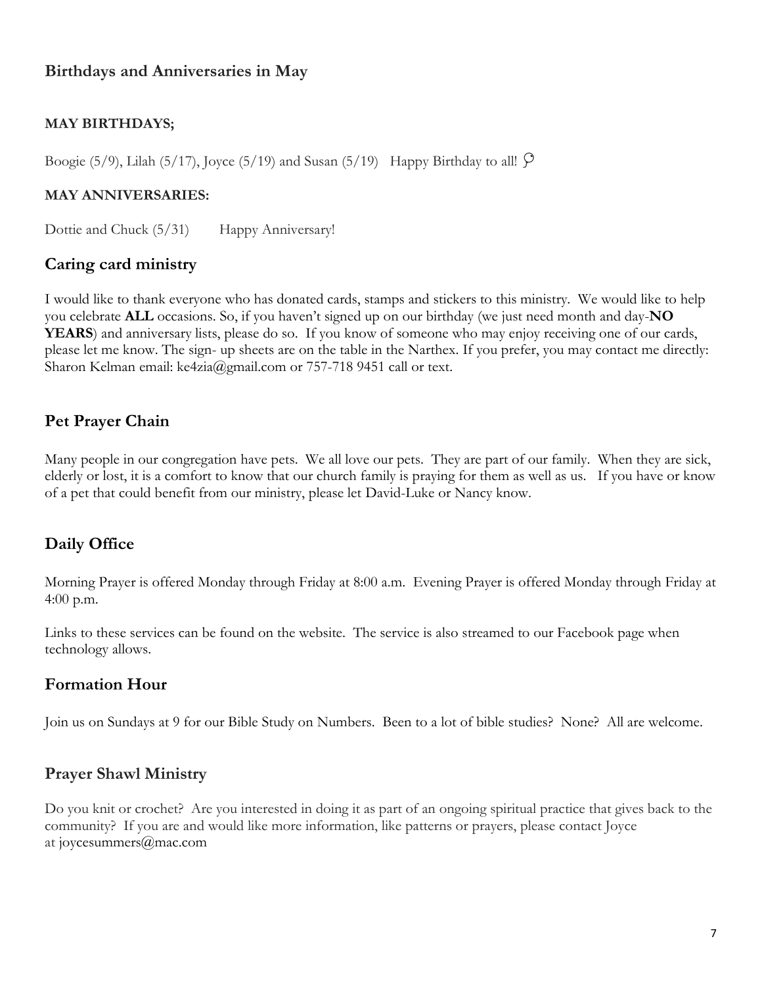# **Birthdays and Anniversaries in May**

## **MAY BIRTHDAYS;**

Boogie (5/9), Lilah (5/17), Joyce (5/19) and Susan (5/19) Happy Birthday to all!

#### **MAY ANNIVERSARIES:**

Dottie and Chuck (5/31) Happy Anniversary!

## **Caring card ministry**

I would like to thank everyone who has donated cards, stamps and stickers to this ministry. We would like to help you celebrate **ALL** occasions. So, if you haven't signed up on our birthday (we just need month and day-**NO YEARS**) and anniversary lists, please do so. If you know of someone who may enjoy receiving one of our cards, please let me know. The sign- up sheets are on the table in the Narthex. If you prefer, you may contact me directly: Sharon Kelman email: ke4zia@gmail.com or 757-718 9451 call or text.

## **Pet Prayer Chain**

Many people in our congregation have pets. We all love our pets. They are part of our family. When they are sick, elderly or lost, it is a comfort to know that our church family is praying for them as well as us. If you have or know of a pet that could benefit from our ministry, please let David-Luke or Nancy know.

## **Daily Office**

Morning Prayer is offered Monday through Friday at 8:00 a.m. Evening Prayer is offered Monday through Friday at 4:00 p.m.

Links to these services can be found on the website. The service is also streamed to our Facebook page when technology allows.

## **Formation Hour**

Join us on Sundays at 9 for our Bible Study on Numbers. Been to a lot of bible studies? None? All are welcome.

## **Prayer Shawl Ministry**

Do you knit or crochet? Are you interested in doing it as part of an ongoing spiritual practice that gives back to the community? If you are and would like more information, like patterns or prayers, please contact Joyce at joycesummers@mac.com